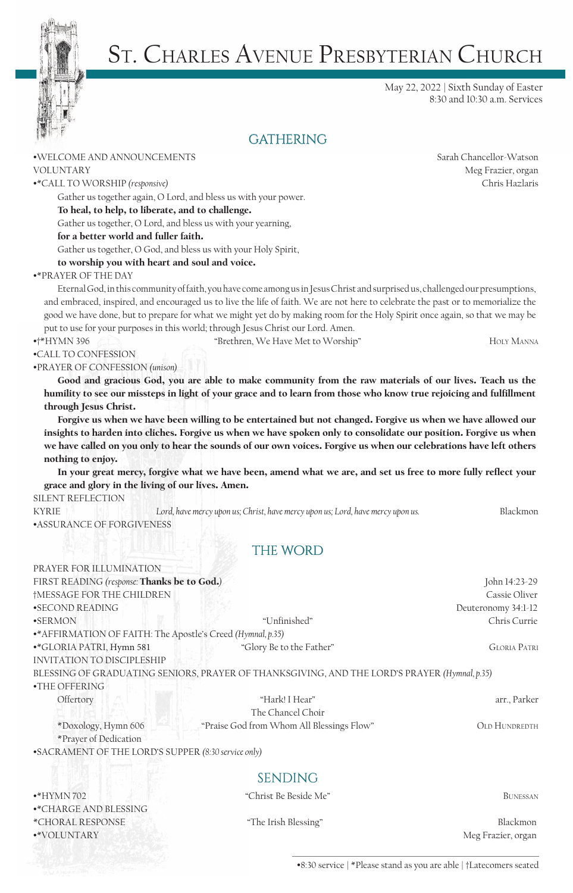

# St. Charles Avenue Presbyterian Church

May 22, 2022 | Sixth Sunday of Easter 8:30 and 10:30 a.m. Services

# **GATHERING**

#### •WELCOME AND ANNOUNCEMENTS Sarah Chancellor-Watson

•\*CALL TO WORSHIP *(responsive)* Chris Hazlaris

Gather us together again, O Lord, and bless us with your power.

#### To heal, to help, to liberate, and to challenge.

Gather us together, O Lord, and bless us with your yearning,

#### for a better world and fuller faith.

Gather us together, O God, and bless us with your Holy Spirit,

### to worship you with heart and soul and voice.

#### •\*PRAYER OF THE DAY

Eternal God, in this community of faith, you have come among us in Jesus Christ and surprised us, challenged our presumptions, and embraced, inspired, and encouraged us to live the life of faith. We are not here to celebrate the past or to memorialize the good we have done, but to prepare for what we might yet do by making room for the Holy Spirit once again, so that we may be put to use for your purposes in this world; through Jesus Christ our Lord. Amen.

•†\*HYMN 396 "Brethren, We Have Met to Worship" Holy Manna

•CALL TO CONFESSION

•PRAYER OF CONFESSION *(unison)*

Good and gracious God, you are able to make community from the raw materials of our lives. Teach us the humility to see our missteps in light of your grace and to learn from those who know true rejoicing and fulfillment through Jesus Christ.

Forgive us when we have been willing to be entertained but not changed. Forgive us when we have allowed our insights to harden into cliches. Forgive us when we have spoken only to consolidate our position. Forgive us when we have called on you only to hear the sounds of our own voices. Forgive us when our celebrations have left others nothing to enjoy.

In your great mercy, forgive what we have been, amend what we are, and set us free to more fully reflect your grace and glory in the living of our lives. Amen.

### SILENT REFLECTION

KYRIE *Lord, have mercy upon us; Christ, have mercy upon us; Lord, have mercy upon us.* Blackmon •ASSURANCE OF FORGIVENESS

# **THE WORD**

| PRAYER FOR ILLUMINATION                                     |                                                                                              |                      |
|-------------------------------------------------------------|----------------------------------------------------------------------------------------------|----------------------|
| FIRST READING (response: Thanks be to God.)                 |                                                                                              | John 14:23-29        |
| †MESSAGE FOR THE CHILDREN                                   |                                                                                              | Cassie Oliver        |
| •SECOND READING                                             |                                                                                              | Deuteronomy 34:1-12  |
| $\bullet$ SERMON                                            | "Unfinished"                                                                                 | Chris Currie         |
| •* AFFIRMATION OF FAITH: The Apostle's Creed (Hymnal, p.35) |                                                                                              |                      |
| •*GLORIA PATRI, Hymn 581                                    | "Glory Be to the Father"                                                                     | <b>GLORIA PATRI</b>  |
| <b>INVITATION TO DISCIPLESHIP</b>                           |                                                                                              |                      |
|                                                             | BLESSING OF GRADUATING SENIORS, PRAYER OF THANKSGIVING, AND THE LORD'S PRAYER (Hymnal, p.35) |                      |
| $\cdot$ THE OFFERING                                        |                                                                                              |                      |
| Offertory                                                   | "Hark! I Hear"                                                                               | arr., Parker         |
|                                                             | The Chancel Choir                                                                            |                      |
| *Doxology, Hymn 606                                         | "Praise God from Whom All Blessings Flow"                                                    | <b>OLD HUNDREDTH</b> |
| *Prayer of Dedication                                       |                                                                                              |                      |

•SACRAMENT OF THE LORD'S SUPPER *(8:30 service only)*

# **SENDING**

| "Christ Be Beside Me" | BUNESSAN           |
|-----------------------|--------------------|
|                       |                    |
| "The Irish Blessing"  | Blackmon           |
|                       | Meg Frazier, organ |
|                       |                    |

•8:30 service | \*Please stand as you are able | †Latecomers seated

VOLUNTARY Meg Frazier, organ